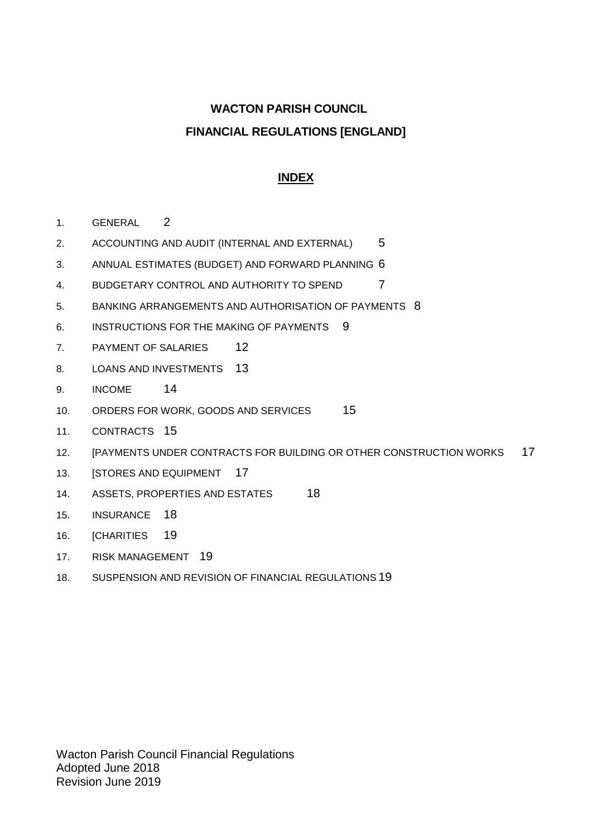# **WACTON PARISH COUNCIL FINANCIAL REGULATIONS [ENGLAND]**

#### **INDEX**

- 1. [GENERAL](#page-2-0) 2
- 2. [ACCOUNTING AND AUDIT \(INTERNAL AND EXTERNAL\)](#page-5-0) 5
- 3. [ANNUAL ESTIMATES \(BUDGET\) AND FORWARD PLANNING](#page-6-0) 6
- 4. [BUDGETARY CONTROL AND AUTHORITY TO SPEND](#page-7-0) 7
- 5. [BANKING ARRANGEMENTS AND AUTHORISATION OF PAYMENTS](#page-8-0) 8
- 6. [INSTRUCTIONS FOR THE MAKING OF PAYMENTS](#page-9-0) 9
- 7. [PAYMENT OF SALARIES](#page-11-0) 12
- 8. [LOANS AND INVESTMENTS](#page-12-0) 13
- 9. [INCOME](#page-13-0) 14
- 10. [ORDERS FOR WORK, GOODS AND SERVICES](#page-14-0) 15
- 11. [CONTRACTS](#page-14-1) 15
- 12. [\[PAYMENTS UNDER CONTRACTS FOR BUILDING OR OTHER CONSTRUCTION WORKS](#page-16-0) 17
- 13. **[\[STORES AND EQUIPMENT](#page-16-1) 17**
- 14. [ASSETS, PROPERTIES AND ESTATES](#page-16-2) 18
- 15. [INSURANCE](#page-17-0) 18
- 16. [\[CHARITIES](#page-18-0) 19
- 17. [RISK MANAGEMENT](#page-18-1) 19
- 18. [SUSPENSION AND REVISION OF FINANCIAL REGULATIONS](#page-18-2) 19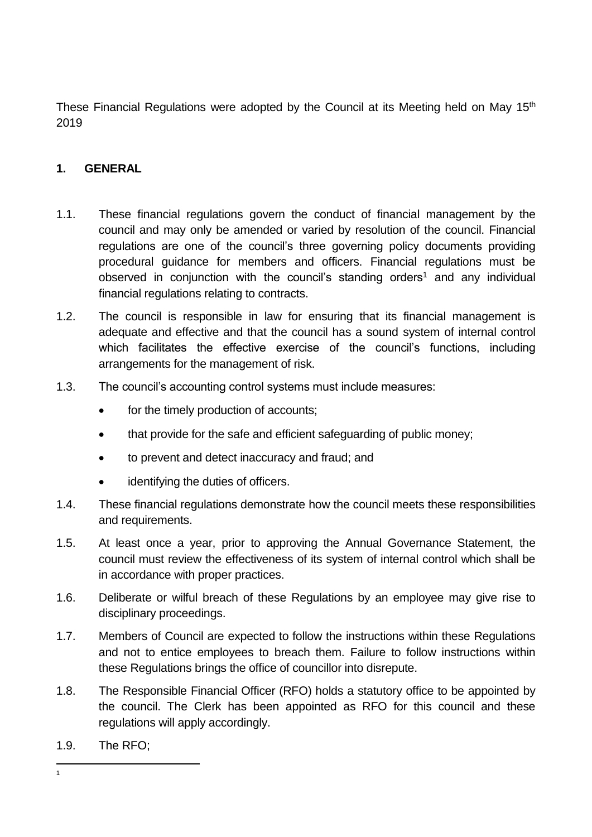These Financial Regulations were adopted by the Council at its Meeting held on May 15<sup>th</sup> 2019

#### <span id="page-2-0"></span>**1. GENERAL**

- 1.1. These financial regulations govern the conduct of financial management by the council and may only be amended or varied by resolution of the council. Financial regulations are one of the council's three governing policy documents providing procedural guidance for members and officers. Financial regulations must be observed in conjunction with the council's standing orders<sup>1</sup> and any individual financial regulations relating to contracts.
- 1.2. The council is responsible in law for ensuring that its financial management is adequate and effective and that the council has a sound system of internal control which facilitates the effective exercise of the council's functions, including arrangements for the management of risk.
- 1.3. The council's accounting control systems must include measures:
	- for the timely production of accounts;
	- that provide for the safe and efficient safeguarding of public money;
	- to prevent and detect inaccuracy and fraud; and
	- identifying the duties of officers.
- 1.4. These financial regulations demonstrate how the council meets these responsibilities and requirements.
- 1.5. At least once a year, prior to approving the Annual Governance Statement, the council must review the effectiveness of its system of internal control which shall be in accordance with proper practices.
- 1.6. Deliberate or wilful breach of these Regulations by an employee may give rise to disciplinary proceedings.
- 1.7. Members of Council are expected to follow the instructions within these Regulations and not to entice employees to breach them. Failure to follow instructions within these Regulations brings the office of councillor into disrepute.
- 1.8. The Responsible Financial Officer (RFO) holds a statutory office to be appointed by the council. The Clerk has been appointed as RFO for this council and these regulations will apply accordingly.
- 1.9. The RFO;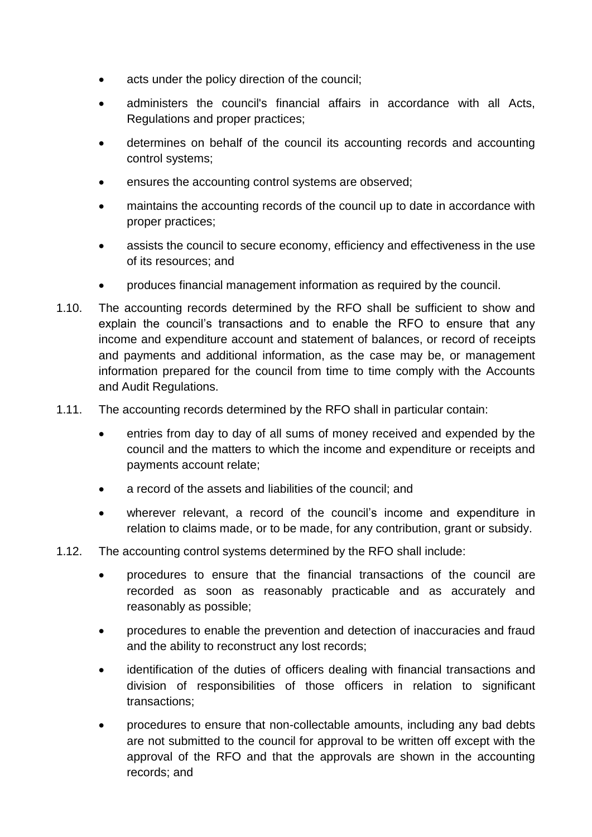- acts under the policy direction of the council;
- administers the council's financial affairs in accordance with all Acts, Regulations and proper practices;
- determines on behalf of the council its accounting records and accounting control systems;
- ensures the accounting control systems are observed;
- maintains the accounting records of the council up to date in accordance with proper practices;
- assists the council to secure economy, efficiency and effectiveness in the use of its resources; and
- produces financial management information as required by the council.
- 1.10. The accounting records determined by the RFO shall be sufficient to show and explain the council's transactions and to enable the RFO to ensure that any income and expenditure account and statement of balances, or record of receipts and payments and additional information, as the case may be, or management information prepared for the council from time to time comply with the Accounts and Audit Regulations.
- 1.11. The accounting records determined by the RFO shall in particular contain:
	- entries from day to day of all sums of money received and expended by the council and the matters to which the income and expenditure or receipts and payments account relate;
	- a record of the assets and liabilities of the council; and
	- wherever relevant, a record of the council's income and expenditure in relation to claims made, or to be made, for any contribution, grant or subsidy.
- 1.12. The accounting control systems determined by the RFO shall include:
	- procedures to ensure that the financial transactions of the council are recorded as soon as reasonably practicable and as accurately and reasonably as possible;
	- procedures to enable the prevention and detection of inaccuracies and fraud and the ability to reconstruct any lost records;
	- identification of the duties of officers dealing with financial transactions and division of responsibilities of those officers in relation to significant transactions;
	- procedures to ensure that non-collectable amounts, including any bad debts are not submitted to the council for approval to be written off except with the approval of the RFO and that the approvals are shown in the accounting records; and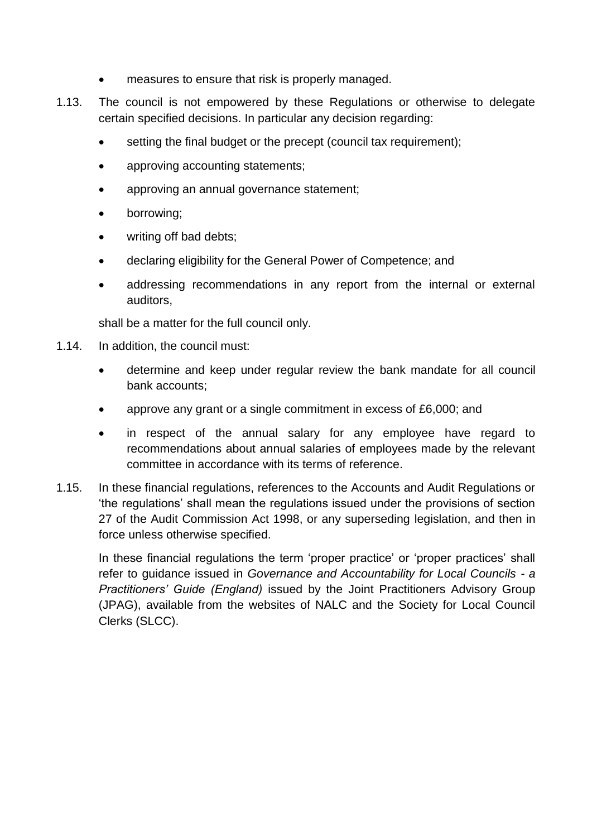- measures to ensure that risk is properly managed.
- 1.13. The council is not empowered by these Regulations or otherwise to delegate certain specified decisions. In particular any decision regarding:
	- setting the final budget or the precept (council tax requirement);
	- approving accounting statements;
	- approving an annual governance statement;
	- borrowing;
	- writing off bad debts:
	- declaring eligibility for the General Power of Competence; and
	- addressing recommendations in any report from the internal or external auditors,

shall be a matter for the full council only.

- 1.14. In addition, the council must:
	- determine and keep under regular review the bank mandate for all council bank accounts;
	- approve any grant or a single commitment in excess of £6,000; and
	- in respect of the annual salary for any employee have regard to recommendations about annual salaries of employees made by the relevant committee in accordance with its terms of reference.
- 1.15. In these financial regulations, references to the Accounts and Audit Regulations or 'the regulations' shall mean the regulations issued under the provisions of section 27 of the Audit Commission Act 1998, or any superseding legislation, and then in force unless otherwise specified.

In these financial regulations the term 'proper practice' or 'proper practices' shall refer to guidance issued in *Governance and Accountability for Local Councils - a Practitioners' Guide (England)* issued by the Joint Practitioners Advisory Group (JPAG), available from the websites of NALC and the Society for Local Council Clerks (SLCC).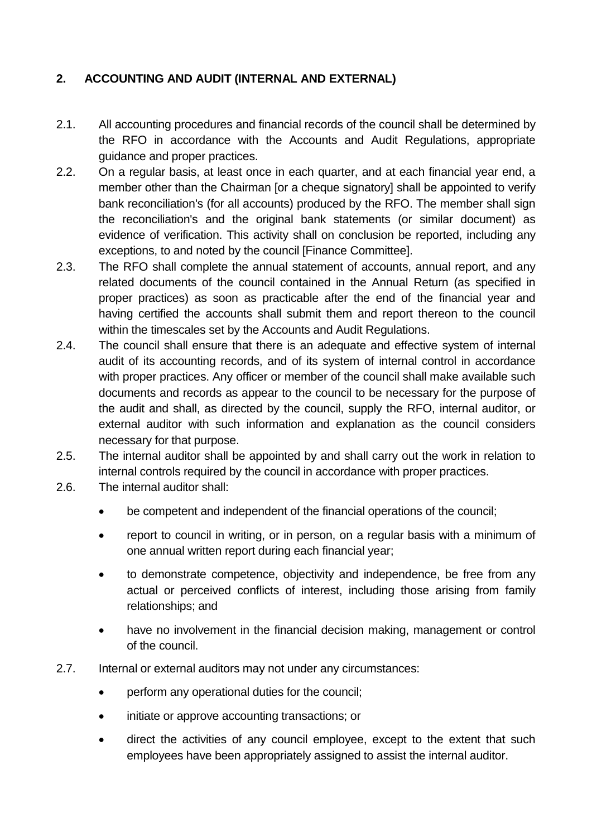# <span id="page-5-0"></span>**2. ACCOUNTING AND AUDIT (INTERNAL AND EXTERNAL)**

- 2.1. All accounting procedures and financial records of the council shall be determined by the RFO in accordance with the Accounts and Audit Regulations, appropriate guidance and proper practices.
- 2.2. On a regular basis, at least once in each quarter, and at each financial year end, a member other than the Chairman [or a cheque signatory] shall be appointed to verify bank reconciliation's (for all accounts) produced by the RFO. The member shall sign the reconciliation's and the original bank statements (or similar document) as evidence of verification. This activity shall on conclusion be reported, including any exceptions, to and noted by the council [Finance Committee].
- 2.3. The RFO shall complete the annual statement of accounts, annual report, and any related documents of the council contained in the Annual Return (as specified in proper practices) as soon as practicable after the end of the financial year and having certified the accounts shall submit them and report thereon to the council within the timescales set by the Accounts and Audit Regulations.
- 2.4. The council shall ensure that there is an adequate and effective system of internal audit of its accounting records, and of its system of internal control in accordance with proper practices. Any officer or member of the council shall make available such documents and records as appear to the council to be necessary for the purpose of the audit and shall, as directed by the council, supply the RFO, internal auditor, or external auditor with such information and explanation as the council considers necessary for that purpose.
- 2.5. The internal auditor shall be appointed by and shall carry out the work in relation to internal controls required by the council in accordance with proper practices.
- 2.6. The internal auditor shall:
	- be competent and independent of the financial operations of the council;
	- report to council in writing, or in person, on a regular basis with a minimum of one annual written report during each financial year;
	- to demonstrate competence, objectivity and independence, be free from any actual or perceived conflicts of interest, including those arising from family relationships; and
	- have no involvement in the financial decision making, management or control of the council.
- 2.7. Internal or external auditors may not under any circumstances:
	- perform any operational duties for the council:
	- initiate or approve accounting transactions; or
	- direct the activities of any council employee, except to the extent that such employees have been appropriately assigned to assist the internal auditor.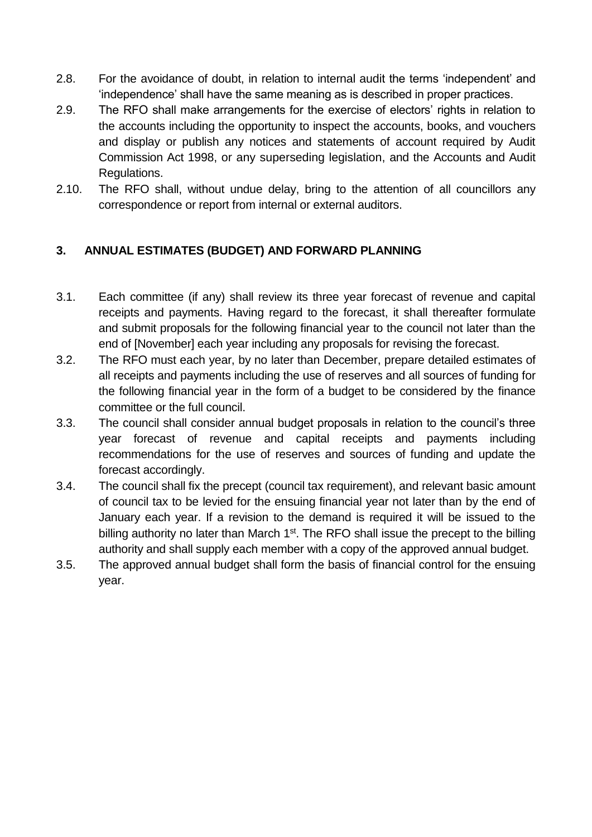- 2.8. For the avoidance of doubt, in relation to internal audit the terms 'independent' and 'independence' shall have the same meaning as is described in proper practices.
- 2.9. The RFO shall make arrangements for the exercise of electors' rights in relation to the accounts including the opportunity to inspect the accounts, books, and vouchers and display or publish any notices and statements of account required by Audit Commission Act 1998, or any superseding legislation, and the Accounts and Audit Regulations.
- 2.10. The RFO shall, without undue delay, bring to the attention of all councillors any correspondence or report from internal or external auditors.

# <span id="page-6-0"></span>**3. ANNUAL ESTIMATES (BUDGET) AND FORWARD PLANNING**

- 3.1. Each committee (if any) shall review its three year forecast of revenue and capital receipts and payments. Having regard to the forecast, it shall thereafter formulate and submit proposals for the following financial year to the council not later than the end of [November] each year including any proposals for revising the forecast.
- 3.2. The RFO must each year, by no later than December, prepare detailed estimates of all receipts and payments including the use of reserves and all sources of funding for the following financial year in the form of a budget to be considered by the finance committee or the full council.
- 3.3. The council shall consider annual budget proposals in relation to the council's three year forecast of revenue and capital receipts and payments including recommendations for the use of reserves and sources of funding and update the forecast accordingly.
- 3.4. The council shall fix the precept (council tax requirement), and relevant basic amount of council tax to be levied for the ensuing financial year not later than by the end of January each year. If a revision to the demand is required it will be issued to the billing authority no later than March 1<sup>st</sup>. The RFO shall issue the precept to the billing authority and shall supply each member with a copy of the approved annual budget.
- 3.5. The approved annual budget shall form the basis of financial control for the ensuing year.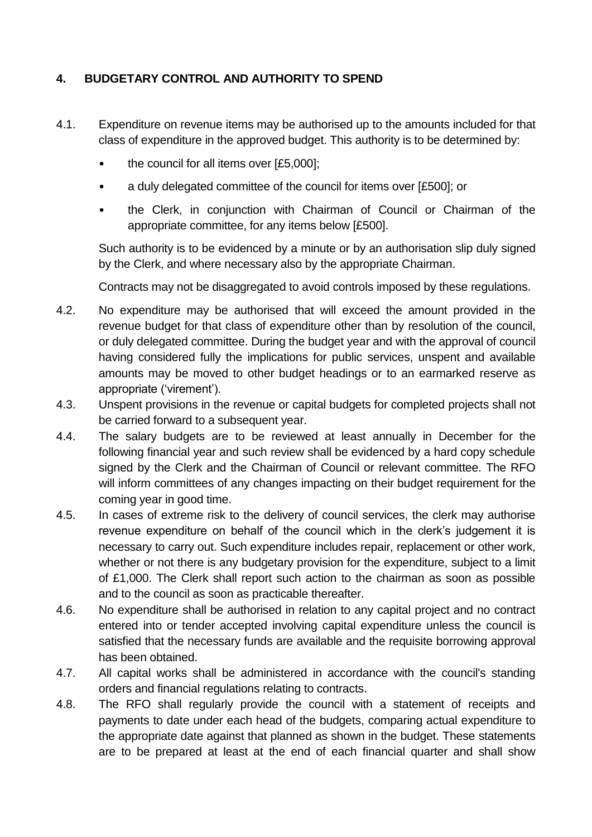# <span id="page-7-0"></span>**4. BUDGETARY CONTROL AND AUTHORITY TO SPEND**

- 4.1. Expenditure on revenue items may be authorised up to the amounts included for that class of expenditure in the approved budget. This authority is to be determined by:
	- the council for all items over [£5,000];
	- a duly delegated committee of the council for items over [£500]; or
	- the Clerk, in conjunction with Chairman of Council or Chairman of the appropriate committee, for any items below [£500].

Such authority is to be evidenced by a minute or by an authorisation slip duly signed by the Clerk, and where necessary also by the appropriate Chairman.

Contracts may not be disaggregated to avoid controls imposed by these regulations.

- 4.2. No expenditure may be authorised that will exceed the amount provided in the revenue budget for that class of expenditure other than by resolution of the council, or duly delegated committee. During the budget year and with the approval of council having considered fully the implications for public services, unspent and available amounts may be moved to other budget headings or to an earmarked reserve as appropriate ('virement').
- 4.3. Unspent provisions in the revenue or capital budgets for completed projects shall not be carried forward to a subsequent year.
- 4.4. The salary budgets are to be reviewed at least annually in December for the following financial year and such review shall be evidenced by a hard copy schedule signed by the Clerk and the Chairman of Council or relevant committee. The RFO will inform committees of any changes impacting on their budget requirement for the coming year in good time.
- 4.5. In cases of extreme risk to the delivery of council services, the clerk may authorise revenue expenditure on behalf of the council which in the clerk's judgement it is necessary to carry out. Such expenditure includes repair, replacement or other work, whether or not there is any budgetary provision for the expenditure, subject to a limit of £1,000. The Clerk shall report such action to the chairman as soon as possible and to the council as soon as practicable thereafter.
- 4.6. No expenditure shall be authorised in relation to any capital project and no contract entered into or tender accepted involving capital expenditure unless the council is satisfied that the necessary funds are available and the requisite borrowing approval has been obtained.
- 4.7. All capital works shall be administered in accordance with the council's standing orders and financial regulations relating to contracts.
- 4.8. The RFO shall regularly provide the council with a statement of receipts and payments to date under each head of the budgets, comparing actual expenditure to the appropriate date against that planned as shown in the budget. These statements are to be prepared at least at the end of each financial quarter and shall show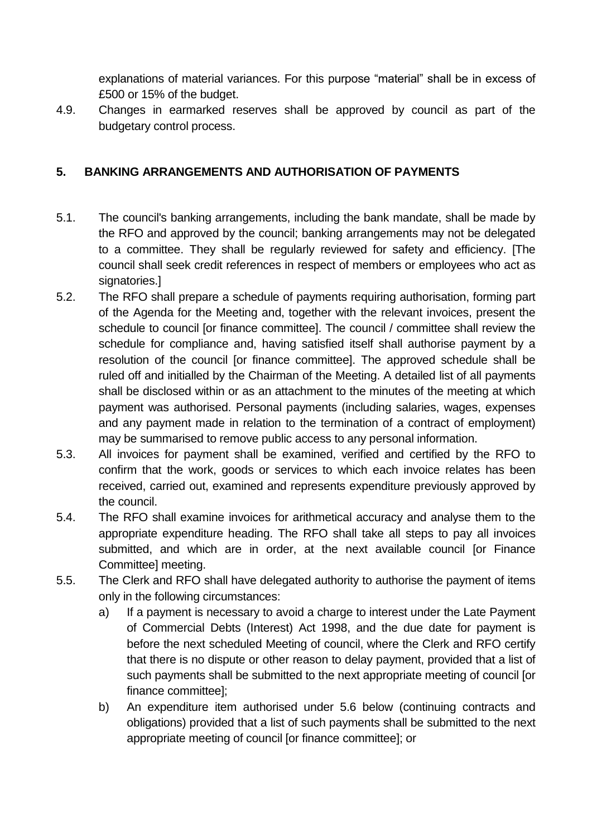explanations of material variances. For this purpose "material" shall be in excess of £500 or 15% of the budget.

4.9. Changes in earmarked reserves shall be approved by council as part of the budgetary control process.

#### <span id="page-8-0"></span>**5. BANKING ARRANGEMENTS AND AUTHORISATION OF PAYMENTS**

- 5.1. The council's banking arrangements, including the bank mandate, shall be made by the RFO and approved by the council; banking arrangements may not be delegated to a committee. They shall be regularly reviewed for safety and efficiency. [The council shall seek credit references in respect of members or employees who act as signatories.1
- 5.2. The RFO shall prepare a schedule of payments requiring authorisation, forming part of the Agenda for the Meeting and, together with the relevant invoices, present the schedule to council [or finance committee]. The council / committee shall review the schedule for compliance and, having satisfied itself shall authorise payment by a resolution of the council [or finance committee]. The approved schedule shall be ruled off and initialled by the Chairman of the Meeting. A detailed list of all payments shall be disclosed within or as an attachment to the minutes of the meeting at which payment was authorised. Personal payments (including salaries, wages, expenses and any payment made in relation to the termination of a contract of employment) may be summarised to remove public access to any personal information.
- 5.3. All invoices for payment shall be examined, verified and certified by the RFO to confirm that the work, goods or services to which each invoice relates has been received, carried out, examined and represents expenditure previously approved by the council.
- 5.4. The RFO shall examine invoices for arithmetical accuracy and analyse them to the appropriate expenditure heading. The RFO shall take all steps to pay all invoices submitted, and which are in order, at the next available council for Finance Committee] meeting.
- 5.5. The Clerk and RFO shall have delegated authority to authorise the payment of items only in the following circumstances:
	- a) If a payment is necessary to avoid a charge to interest under the Late Payment of Commercial Debts (Interest) Act 1998, and the due date for payment is before the next scheduled Meeting of council, where the Clerk and RFO certify that there is no dispute or other reason to delay payment, provided that a list of such payments shall be submitted to the next appropriate meeting of council [or finance committee];
	- b) An expenditure item authorised under 5.6 below (continuing contracts and obligations) provided that a list of such payments shall be submitted to the next appropriate meeting of council [or finance committee]; or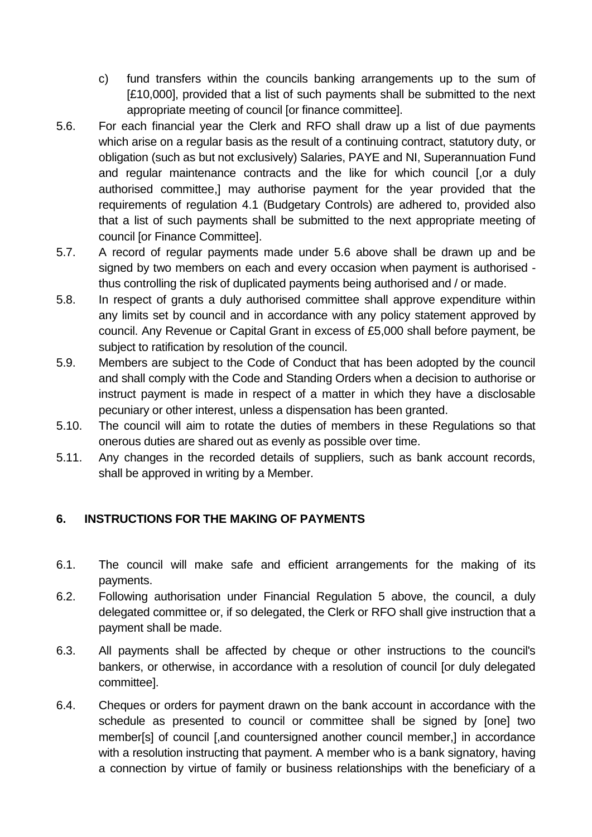- c) fund transfers within the councils banking arrangements up to the sum of [£10,000], provided that a list of such payments shall be submitted to the next appropriate meeting of council [or finance committee].
- 5.6. For each financial year the Clerk and RFO shall draw up a list of due payments which arise on a regular basis as the result of a continuing contract, statutory duty, or obligation (such as but not exclusively) Salaries, PAYE and NI, Superannuation Fund and regular maintenance contracts and the like for which council [,or a duly authorised committee,] may authorise payment for the year provided that the requirements of regulation 4.1 (Budgetary Controls) are adhered to, provided also that a list of such payments shall be submitted to the next appropriate meeting of council [or Finance Committee].
- 5.7. A record of regular payments made under 5.6 above shall be drawn up and be signed by two members on each and every occasion when payment is authorised thus controlling the risk of duplicated payments being authorised and / or made.
- 5.8. In respect of grants a duly authorised committee shall approve expenditure within any limits set by council and in accordance with any policy statement approved by council. Any Revenue or Capital Grant in excess of £5,000 shall before payment, be subject to ratification by resolution of the council.
- 5.9. Members are subject to the Code of Conduct that has been adopted by the council and shall comply with the Code and Standing Orders when a decision to authorise or instruct payment is made in respect of a matter in which they have a disclosable pecuniary or other interest, unless a dispensation has been granted.
- 5.10. The council will aim to rotate the duties of members in these Regulations so that onerous duties are shared out as evenly as possible over time.
- 5.11. Any changes in the recorded details of suppliers, such as bank account records, shall be approved in writing by a Member.

# <span id="page-9-0"></span>**6. INSTRUCTIONS FOR THE MAKING OF PAYMENTS**

- 6.1. The council will make safe and efficient arrangements for the making of its payments.
- 6.2. Following authorisation under Financial Regulation 5 above, the council, a duly delegated committee or, if so delegated, the Clerk or RFO shall give instruction that a payment shall be made.
- 6.3. All payments shall be affected by cheque or other instructions to the council's bankers, or otherwise, in accordance with a resolution of council [or duly delegated committee].
- 6.4. Cheques or orders for payment drawn on the bank account in accordance with the schedule as presented to council or committee shall be signed by [one] two member[s] of council [,and countersigned another council member,] in accordance with a resolution instructing that payment. A member who is a bank signatory, having a connection by virtue of family or business relationships with the beneficiary of a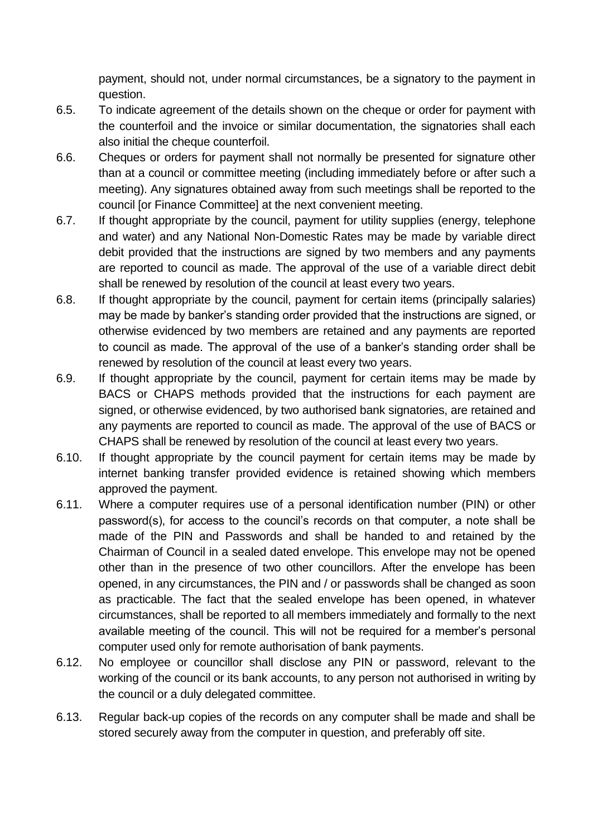payment, should not, under normal circumstances, be a signatory to the payment in question.

- 6.5. To indicate agreement of the details shown on the cheque or order for payment with the counterfoil and the invoice or similar documentation, the signatories shall each also initial the cheque counterfoil.
- 6.6. Cheques or orders for payment shall not normally be presented for signature other than at a council or committee meeting (including immediately before or after such a meeting). Any signatures obtained away from such meetings shall be reported to the council [or Finance Committee] at the next convenient meeting.
- 6.7. If thought appropriate by the council, payment for utility supplies (energy, telephone and water) and any National Non-Domestic Rates may be made by variable direct debit provided that the instructions are signed by two members and any payments are reported to council as made. The approval of the use of a variable direct debit shall be renewed by resolution of the council at least every two years.
- 6.8. If thought appropriate by the council, payment for certain items (principally salaries) may be made by banker's standing order provided that the instructions are signed, or otherwise evidenced by two members are retained and any payments are reported to council as made. The approval of the use of a banker's standing order shall be renewed by resolution of the council at least every two years.
- 6.9. If thought appropriate by the council, payment for certain items may be made by BACS or CHAPS methods provided that the instructions for each payment are signed, or otherwise evidenced, by two authorised bank signatories, are retained and any payments are reported to council as made. The approval of the use of BACS or CHAPS shall be renewed by resolution of the council at least every two years.
- 6.10. If thought appropriate by the council payment for certain items may be made by internet banking transfer provided evidence is retained showing which members approved the payment.
- 6.11. Where a computer requires use of a personal identification number (PIN) or other password(s), for access to the council's records on that computer, a note shall be made of the PIN and Passwords and shall be handed to and retained by the Chairman of Council in a sealed dated envelope. This envelope may not be opened other than in the presence of two other councillors. After the envelope has been opened, in any circumstances, the PIN and / or passwords shall be changed as soon as practicable. The fact that the sealed envelope has been opened, in whatever circumstances, shall be reported to all members immediately and formally to the next available meeting of the council. This will not be required for a member's personal computer used only for remote authorisation of bank payments.
- 6.12. No employee or councillor shall disclose any PIN or password, relevant to the working of the council or its bank accounts, to any person not authorised in writing by the council or a duly delegated committee.
- 6.13. Regular back-up copies of the records on any computer shall be made and shall be stored securely away from the computer in question, and preferably off site.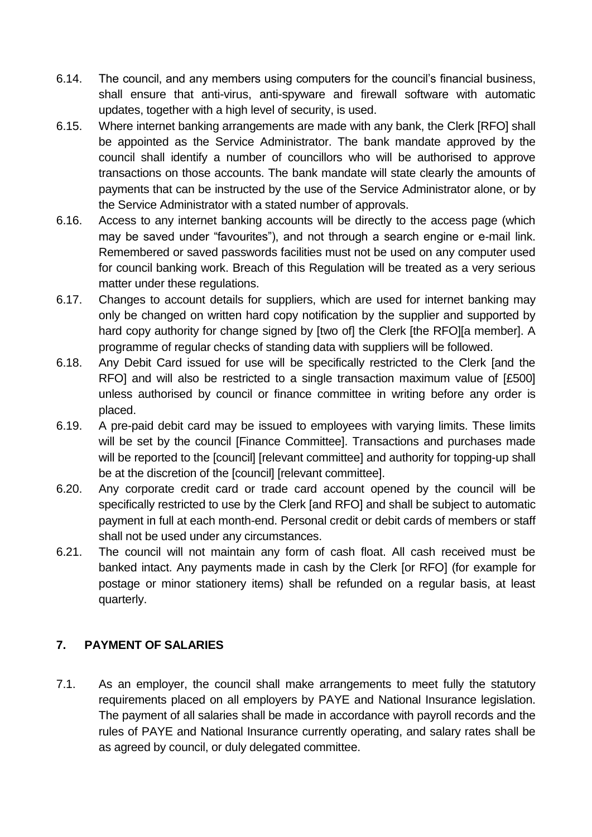- 6.14. The council, and any members using computers for the council's financial business, shall ensure that anti-virus, anti-spyware and firewall software with automatic updates, together with a high level of security, is used.
- 6.15. Where internet banking arrangements are made with any bank, the Clerk [RFO] shall be appointed as the Service Administrator. The bank mandate approved by the council shall identify a number of councillors who will be authorised to approve transactions on those accounts. The bank mandate will state clearly the amounts of payments that can be instructed by the use of the Service Administrator alone, or by the Service Administrator with a stated number of approvals.
- 6.16. Access to any internet banking accounts will be directly to the access page (which may be saved under "favourites"), and not through a search engine or e-mail link. Remembered or saved passwords facilities must not be used on any computer used for council banking work. Breach of this Regulation will be treated as a very serious matter under these regulations.
- 6.17. Changes to account details for suppliers, which are used for internet banking may only be changed on written hard copy notification by the supplier and supported by hard copy authority for change signed by [two of] the Clerk [the RFO][a member]. A programme of regular checks of standing data with suppliers will be followed.
- 6.18. Any Debit Card issued for use will be specifically restricted to the Clerk [and the RFO] and will also be restricted to a single transaction maximum value of [£500] unless authorised by council or finance committee in writing before any order is placed.
- 6.19. A pre-paid debit card may be issued to employees with varying limits. These limits will be set by the council [Finance Committee]. Transactions and purchases made will be reported to the [council] [relevant committee] and authority for topping-up shall be at the discretion of the [council] [relevant committee].
- 6.20. Any corporate credit card or trade card account opened by the council will be specifically restricted to use by the Clerk [and RFO] and shall be subject to automatic payment in full at each month-end. Personal credit or debit cards of members or staff shall not be used under any circumstances.
- 6.21. The council will not maintain any form of cash float. All cash received must be banked intact. Any payments made in cash by the Clerk [or RFO] (for example for postage or minor stationery items) shall be refunded on a regular basis, at least quarterly.

# <span id="page-11-0"></span>**7. PAYMENT OF SALARIES**

7.1. As an employer, the council shall make arrangements to meet fully the statutory requirements placed on all employers by PAYE and National Insurance legislation. The payment of all salaries shall be made in accordance with payroll records and the rules of PAYE and National Insurance currently operating, and salary rates shall be as agreed by council, or duly delegated committee.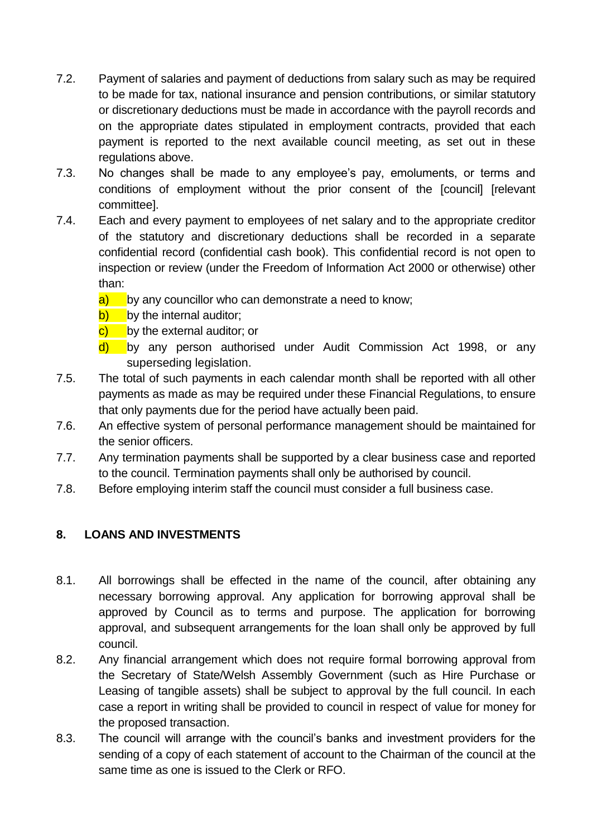- 7.2. Payment of salaries and payment of deductions from salary such as may be required to be made for tax, national insurance and pension contributions, or similar statutory or discretionary deductions must be made in accordance with the payroll records and on the appropriate dates stipulated in employment contracts, provided that each payment is reported to the next available council meeting, as set out in these regulations above.
- 7.3. No changes shall be made to any employee's pay, emoluments, or terms and conditions of employment without the prior consent of the [council] [relevant committee].
- 7.4. Each and every payment to employees of net salary and to the appropriate creditor of the statutory and discretionary deductions shall be recorded in a separate confidential record (confidential cash book). This confidential record is not open to inspection or review (under the Freedom of Information Act 2000 or otherwise) other than:
	- $\overline{a}$  by any councillor who can demonstrate a need to know;
	- $\mathbf{b}$  by the internal auditor;
	- $\mathbf{c}$  by the external auditor; or
	- d) by any person authorised under Audit Commission Act 1998, or any superseding legislation.
- 7.5. The total of such payments in each calendar month shall be reported with all other payments as made as may be required under these Financial Regulations, to ensure that only payments due for the period have actually been paid.
- 7.6. An effective system of personal performance management should be maintained for the senior officers.
- 7.7. Any termination payments shall be supported by a clear business case and reported to the council. Termination payments shall only be authorised by council.
- 7.8. Before employing interim staff the council must consider a full business case.

#### <span id="page-12-0"></span>**8. LOANS AND INVESTMENTS**

- 8.1. All borrowings shall be effected in the name of the council, after obtaining any necessary borrowing approval. Any application for borrowing approval shall be approved by Council as to terms and purpose. The application for borrowing approval, and subsequent arrangements for the loan shall only be approved by full council.
- 8.2. Any financial arrangement which does not require formal borrowing approval from the Secretary of State/Welsh Assembly Government (such as Hire Purchase or Leasing of tangible assets) shall be subject to approval by the full council. In each case a report in writing shall be provided to council in respect of value for money for the proposed transaction.
- 8.3. The council will arrange with the council's banks and investment providers for the sending of a copy of each statement of account to the Chairman of the council at the same time as one is issued to the Clerk or RFO.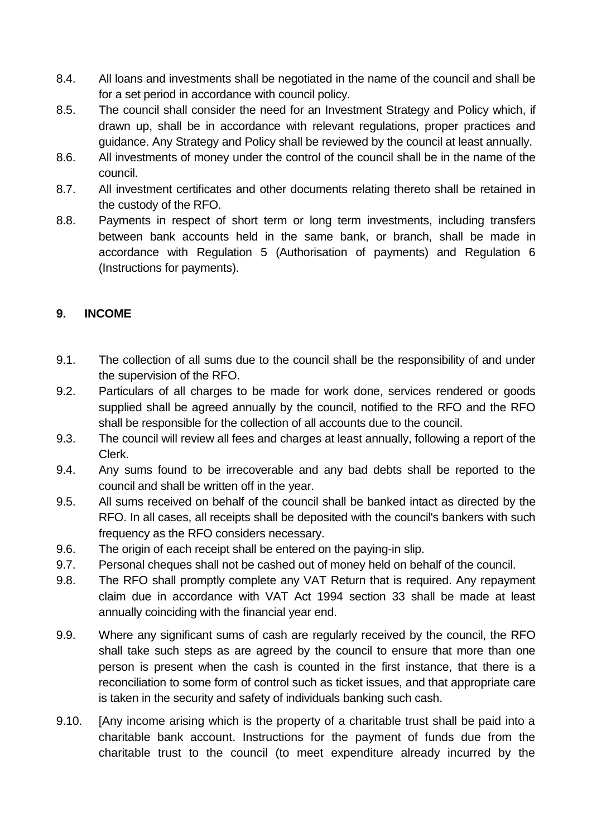- 8.4. All loans and investments shall be negotiated in the name of the council and shall be for a set period in accordance with council policy.
- 8.5. The council shall consider the need for an Investment Strategy and Policy which, if drawn up, shall be in accordance with relevant regulations, proper practices and guidance. Any Strategy and Policy shall be reviewed by the council at least annually.
- 8.6. All investments of money under the control of the council shall be in the name of the council.
- 8.7. All investment certificates and other documents relating thereto shall be retained in the custody of the RFO.
- 8.8. Payments in respect of short term or long term investments, including transfers between bank accounts held in the same bank, or branch, shall be made in accordance with Regulation 5 (Authorisation of payments) and Regulation 6 (Instructions for payments).

# <span id="page-13-0"></span>**9. INCOME**

- 9.1. The collection of all sums due to the council shall be the responsibility of and under the supervision of the RFO.
- 9.2. Particulars of all charges to be made for work done, services rendered or goods supplied shall be agreed annually by the council, notified to the RFO and the RFO shall be responsible for the collection of all accounts due to the council.
- 9.3. The council will review all fees and charges at least annually, following a report of the Clerk.
- 9.4. Any sums found to be irrecoverable and any bad debts shall be reported to the council and shall be written off in the year.
- 9.5. All sums received on behalf of the council shall be banked intact as directed by the RFO. In all cases, all receipts shall be deposited with the council's bankers with such frequency as the RFO considers necessary.
- 9.6. The origin of each receipt shall be entered on the paying-in slip.
- 9.7. Personal cheques shall not be cashed out of money held on behalf of the council.
- 9.8. The RFO shall promptly complete any VAT Return that is required. Any repayment claim due in accordance with VAT Act 1994 section 33 shall be made at least annually coinciding with the financial year end.
- 9.9. Where any significant sums of cash are regularly received by the council, the RFO shall take such steps as are agreed by the council to ensure that more than one person is present when the cash is counted in the first instance, that there is a reconciliation to some form of control such as ticket issues, and that appropriate care is taken in the security and safety of individuals banking such cash.
- 9.10. [Any income arising which is the property of a charitable trust shall be paid into a charitable bank account. Instructions for the payment of funds due from the charitable trust to the council (to meet expenditure already incurred by the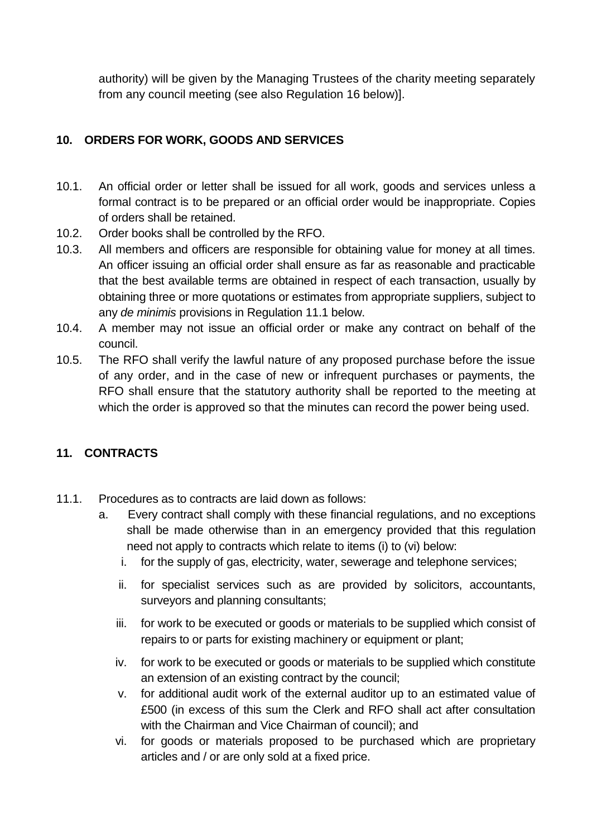authority) will be given by the Managing Trustees of the charity meeting separately from any council meeting (see also Regulation 16 below)].

# <span id="page-14-0"></span>**10. ORDERS FOR WORK, GOODS AND SERVICES**

- 10.1. An official order or letter shall be issued for all work, goods and services unless a formal contract is to be prepared or an official order would be inappropriate. Copies of orders shall be retained.
- 10.2. Order books shall be controlled by the RFO.
- 10.3. All members and officers are responsible for obtaining value for money at all times. An officer issuing an official order shall ensure as far as reasonable and practicable that the best available terms are obtained in respect of each transaction, usually by obtaining three or more quotations or estimates from appropriate suppliers, subject to any *de minimis* provisions in Regulation 11.1 below.
- 10.4. A member may not issue an official order or make any contract on behalf of the council.
- 10.5. The RFO shall verify the lawful nature of any proposed purchase before the issue of any order, and in the case of new or infrequent purchases or payments, the RFO shall ensure that the statutory authority shall be reported to the meeting at which the order is approved so that the minutes can record the power being used.

# <span id="page-14-1"></span>**11. CONTRACTS**

- 11.1. Procedures as to contracts are laid down as follows:
	- a. Every contract shall comply with these financial regulations, and no exceptions shall be made otherwise than in an emergency provided that this regulation need not apply to contracts which relate to items (i) to (vi) below:
		- i. for the supply of gas, electricity, water, sewerage and telephone services;
		- ii. for specialist services such as are provided by solicitors, accountants, surveyors and planning consultants;
		- iii. for work to be executed or goods or materials to be supplied which consist of repairs to or parts for existing machinery or equipment or plant;
		- iv. for work to be executed or goods or materials to be supplied which constitute an extension of an existing contract by the council;
		- v. for additional audit work of the external auditor up to an estimated value of £500 (in excess of this sum the Clerk and RFO shall act after consultation with the Chairman and Vice Chairman of council); and
		- vi. for goods or materials proposed to be purchased which are proprietary articles and / or are only sold at a fixed price.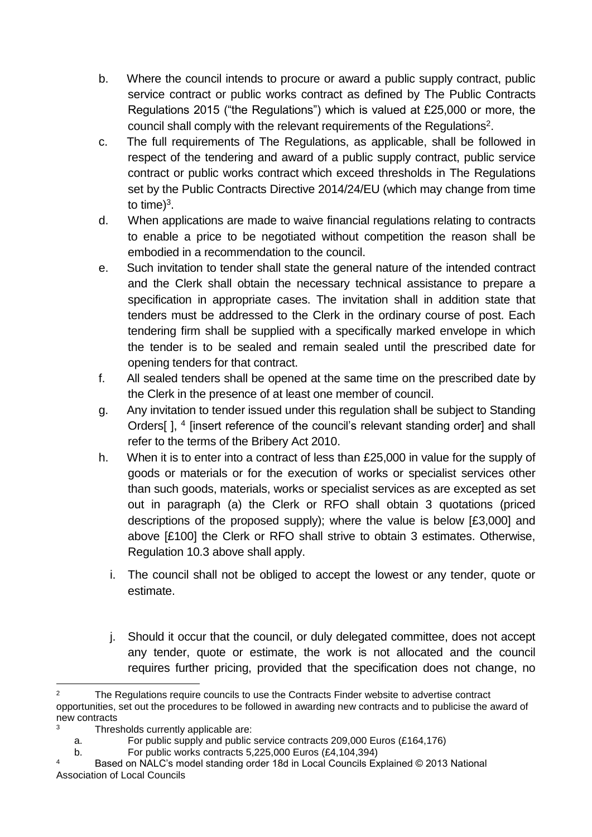- b. Where the council intends to procure or award a public supply contract, public service contract or public works contract as defined by The Public Contracts Regulations 2015 ("the Regulations") which is valued at £25,000 or more, the council shall comply with the relevant requirements of the Regulations<sup>2</sup>.
- c. The full requirements of The Regulations, as applicable, shall be followed in respect of the tendering and award of a public supply contract, public service contract or public works contract which exceed thresholds in The Regulations set by the Public Contracts Directive 2014/24/EU (which may change from time to time) $3$ .
- d. When applications are made to waive financial regulations relating to contracts to enable a price to be negotiated without competition the reason shall be embodied in a recommendation to the council.
- e. Such invitation to tender shall state the general nature of the intended contract and the Clerk shall obtain the necessary technical assistance to prepare a specification in appropriate cases. The invitation shall in addition state that tenders must be addressed to the Clerk in the ordinary course of post. Each tendering firm shall be supplied with a specifically marked envelope in which the tender is to be sealed and remain sealed until the prescribed date for opening tenders for that contract.
- f. All sealed tenders shall be opened at the same time on the prescribed date by the Clerk in the presence of at least one member of council.
- g. Any invitation to tender issued under this regulation shall be subject to Standing Orders[], <sup>4</sup> [insert reference of the council's relevant standing order] and shall refer to the terms of the Bribery Act 2010.
- h. When it is to enter into a contract of less than £25,000 in value for the supply of goods or materials or for the execution of works or specialist services other than such goods, materials, works or specialist services as are excepted as set out in paragraph (a) the Clerk or RFO shall obtain 3 quotations (priced descriptions of the proposed supply); where the value is below [£3,000] and above [£100] the Clerk or RFO shall strive to obtain 3 estimates. Otherwise, Regulation 10.3 above shall apply.
	- i. The council shall not be obliged to accept the lowest or any tender, quote or estimate.
	- j. Should it occur that the council, or duly delegated committee, does not accept any tender, quote or estimate, the work is not allocated and the council requires further pricing, provided that the specification does not change, no

<sup>1</sup> <sup>2</sup> The Regulations require councils to use the Contracts Finder website to advertise contract opportunities, set out the procedures to be followed in awarding new contracts and to publicise the award of new contracts

<sup>3</sup> Thresholds currently applicable are:

a. For public supply and public service contracts 209,000 Euros (£164,176)

b. For public works contracts 5,225,000 Euros (£4,104,394)

Based on NALC's model standing order 18d in Local Councils Explained © 2013 National Association of Local Councils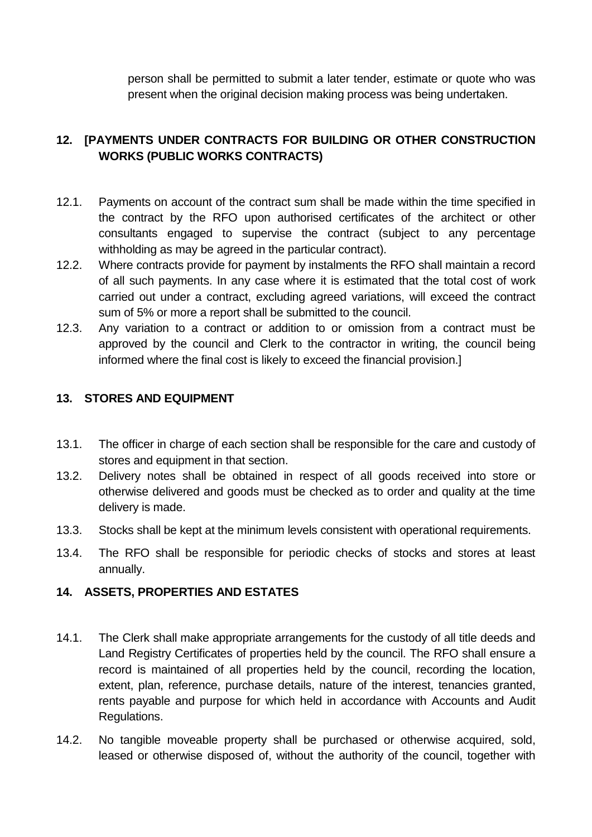person shall be permitted to submit a later tender, estimate or quote who was present when the original decision making process was being undertaken.

# <span id="page-16-0"></span>**12. [PAYMENTS UNDER CONTRACTS FOR BUILDING OR OTHER CONSTRUCTION WORKS (PUBLIC WORKS CONTRACTS)**

- 12.1. Payments on account of the contract sum shall be made within the time specified in the contract by the RFO upon authorised certificates of the architect or other consultants engaged to supervise the contract (subject to any percentage withholding as may be agreed in the particular contract).
- 12.2. Where contracts provide for payment by instalments the RFO shall maintain a record of all such payments. In any case where it is estimated that the total cost of work carried out under a contract, excluding agreed variations, will exceed the contract sum of 5% or more a report shall be submitted to the council.
- 12.3. Any variation to a contract or addition to or omission from a contract must be approved by the council and Clerk to the contractor in writing, the council being informed where the final cost is likely to exceed the financial provision.]

#### <span id="page-16-1"></span>**13. STORES AND EQUIPMENT**

- 13.1. The officer in charge of each section shall be responsible for the care and custody of stores and equipment in that section.
- 13.2. Delivery notes shall be obtained in respect of all goods received into store or otherwise delivered and goods must be checked as to order and quality at the time delivery is made.
- 13.3. Stocks shall be kept at the minimum levels consistent with operational requirements.
- 13.4. The RFO shall be responsible for periodic checks of stocks and stores at least annually.

#### <span id="page-16-2"></span>**14. ASSETS, PROPERTIES AND ESTATES**

- 14.1. The Clerk shall make appropriate arrangements for the custody of all title deeds and Land Registry Certificates of properties held by the council. The RFO shall ensure a record is maintained of all properties held by the council, recording the location, extent, plan, reference, purchase details, nature of the interest, tenancies granted, rents payable and purpose for which held in accordance with Accounts and Audit Regulations.
- 14.2. No tangible moveable property shall be purchased or otherwise acquired, sold, leased or otherwise disposed of, without the authority of the council, together with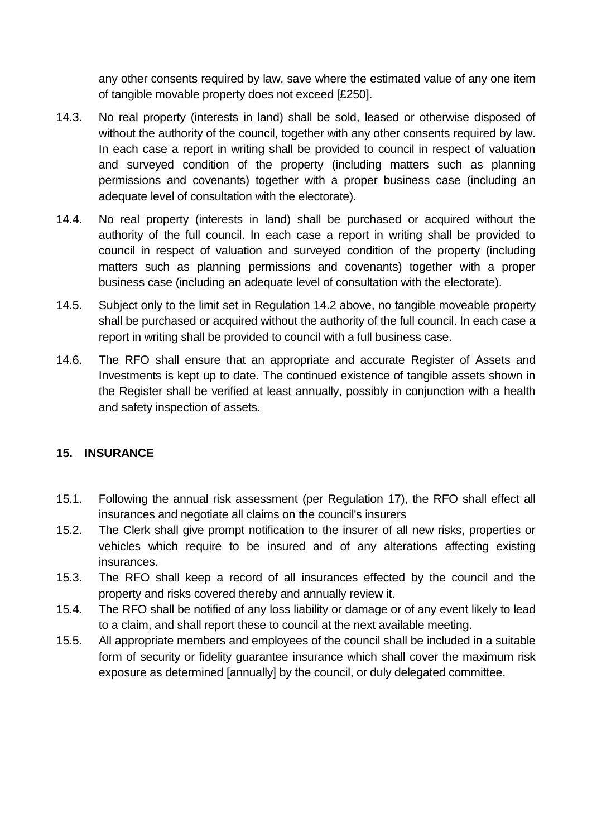any other consents required by law, save where the estimated value of any one item of tangible movable property does not exceed [£250].

- 14.3. No real property (interests in land) shall be sold, leased or otherwise disposed of without the authority of the council, together with any other consents required by law. In each case a report in writing shall be provided to council in respect of valuation and surveyed condition of the property (including matters such as planning permissions and covenants) together with a proper business case (including an adequate level of consultation with the electorate).
- 14.4. No real property (interests in land) shall be purchased or acquired without the authority of the full council. In each case a report in writing shall be provided to council in respect of valuation and surveyed condition of the property (including matters such as planning permissions and covenants) together with a proper business case (including an adequate level of consultation with the electorate).
- 14.5. Subject only to the limit set in Regulation 14.2 above, no tangible moveable property shall be purchased or acquired without the authority of the full council. In each case a report in writing shall be provided to council with a full business case.
- 14.6. The RFO shall ensure that an appropriate and accurate Register of Assets and Investments is kept up to date. The continued existence of tangible assets shown in the Register shall be verified at least annually, possibly in conjunction with a health and safety inspection of assets.

#### <span id="page-17-0"></span>**15. INSURANCE**

- 15.1. Following the annual risk assessment (per Regulation 17), the RFO shall effect all insurances and negotiate all claims on the council's insurers
- 15.2. The Clerk shall give prompt notification to the insurer of all new risks, properties or vehicles which require to be insured and of any alterations affecting existing insurances.
- 15.3. The RFO shall keep a record of all insurances effected by the council and the property and risks covered thereby and annually review it.
- 15.4. The RFO shall be notified of any loss liability or damage or of any event likely to lead to a claim, and shall report these to council at the next available meeting.
- 15.5. All appropriate members and employees of the council shall be included in a suitable form of security or fidelity guarantee insurance which shall cover the maximum risk exposure as determined [annually] by the council, or duly delegated committee.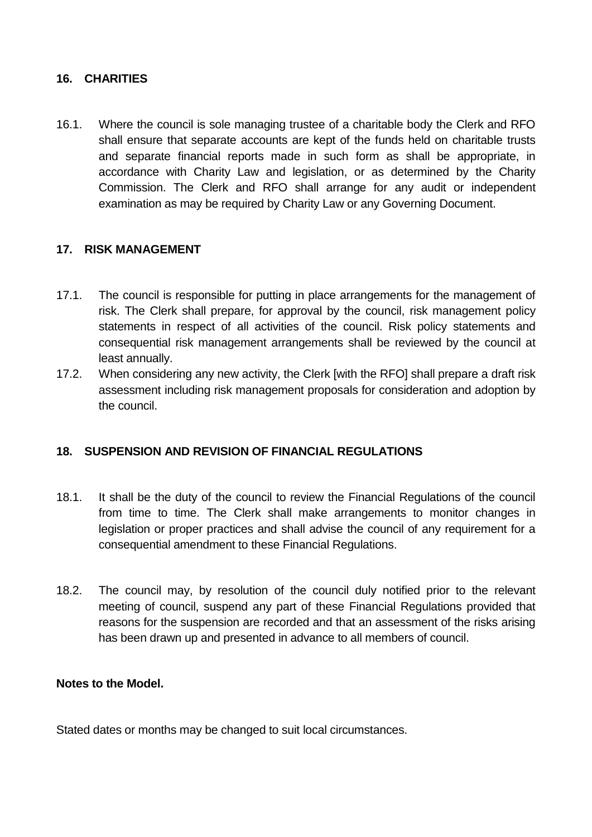#### <span id="page-18-0"></span>**16. CHARITIES**

16.1. Where the council is sole managing trustee of a charitable body the Clerk and RFO shall ensure that separate accounts are kept of the funds held on charitable trusts and separate financial reports made in such form as shall be appropriate, in accordance with Charity Law and legislation, or as determined by the Charity Commission. The Clerk and RFO shall arrange for any audit or independent examination as may be required by Charity Law or any Governing Document.

#### <span id="page-18-1"></span>**17. RISK MANAGEMENT**

- 17.1. The council is responsible for putting in place arrangements for the management of risk. The Clerk shall prepare, for approval by the council, risk management policy statements in respect of all activities of the council. Risk policy statements and consequential risk management arrangements shall be reviewed by the council at least annually.
- 17.2. When considering any new activity, the Clerk [with the RFO] shall prepare a draft risk assessment including risk management proposals for consideration and adoption by the council.

#### <span id="page-18-2"></span>**18. SUSPENSION AND REVISION OF FINANCIAL REGULATIONS**

- 18.1. It shall be the duty of the council to review the Financial Regulations of the council from time to time. The Clerk shall make arrangements to monitor changes in legislation or proper practices and shall advise the council of any requirement for a consequential amendment to these Financial Regulations.
- 18.2. The council may, by resolution of the council duly notified prior to the relevant meeting of council, suspend any part of these Financial Regulations provided that reasons for the suspension are recorded and that an assessment of the risks arising has been drawn up and presented in advance to all members of council.

#### **Notes to the Model.**

Stated dates or months may be changed to suit local circumstances.